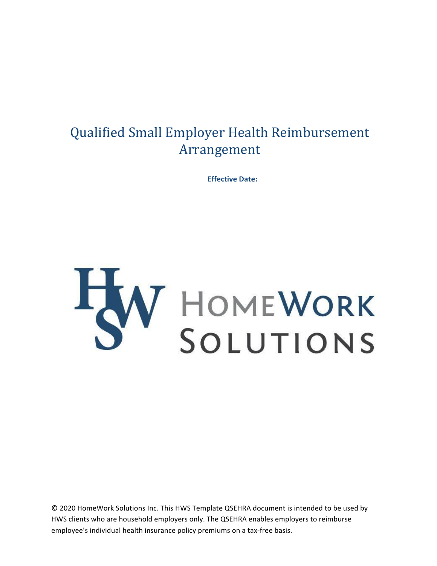# Qualified Small Employer Health Reimbursement Arrangement

**Effective Date:** 



© 2020 HomeWork Solutions Inc. This HWS Template QSEHRA document is intended to be used by HWS clients who are household employers only. The QSEHRA enables employers to reimburse employee's individual health insurance policy premiums on a tax-free basis.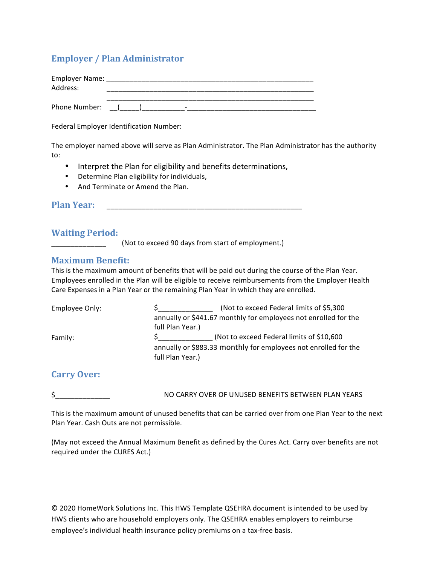## **Employer / Plan Administrator**

| Employer Name:<br>Address: |  |
|----------------------------|--|
| Phone Number:              |  |

Federal Employer Identification Number:

The employer named above will serve as Plan Administrator. The Plan Administrator has the authority to: 

- Interpret the Plan for eligibility and benefits determinations,
- Determine Plan eligibility for individuals,
- And Terminate or Amend the Plan.

**Plan Year: Contract Plan Year: Contract Plan Year: Contract Plan Year: Contract Plan Year: Contract Plan Year: Contract Plan Year: Contract Plan Year: Contract Plan Year: Contract Plan Year: Contract P** 

#### **Waiting Period:**

(Not to exceed 90 days from start of employment.)

#### **Maximum Benefit:**

This is the maximum amount of benefits that will be paid out during the course of the Plan Year. Employees enrolled in the Plan will be eligible to receive reimbursements from the Employer Health Care Expenses in a Plan Year or the remaining Plan Year in which they are enrolled.

| Employee Only: | (Not to exceed Federal limits of \$5,300)                       |
|----------------|-----------------------------------------------------------------|
|                | annually or \$441.67 monthly for employees not enrolled for the |
|                | full Plan Year.)                                                |
| Family:        | (Not to exceed Federal limits of \$10,600)                      |
|                | annually or \$883.33 monthly for employees not enrolled for the |
|                | full Plan Year.)                                                |

#### **Carry Over:**

 $\zeta$ 

 NO CARRY OVER OF UNUSED BENEFITS BETWEEN PLAN YEARS 

This is the maximum amount of unused benefits that can be carried over from one Plan Year to the next Plan Year. Cash Outs are not permissible.

(May not exceed the Annual Maximum Benefit as defined by the Cures Act. Carry over benefits are not required under the CURES Act.)

© 2020 HomeWork Solutions Inc. This HWS Template QSEHRA document is intended to be used by HWS clients who are household employers only. The QSEHRA enables employers to reimburse employee's individual health insurance policy premiums on a tax-free basis.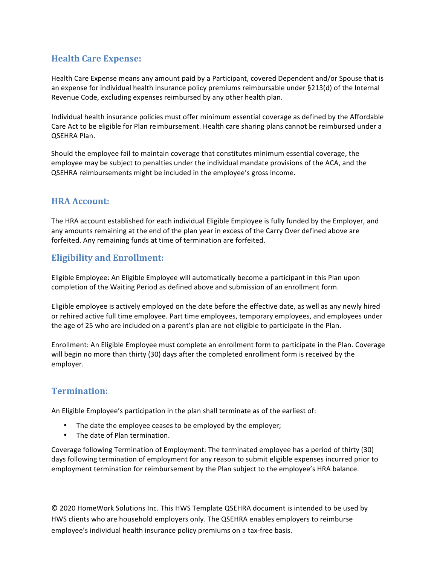## **Health Care Expense:**

Health Care Expense means any amount paid by a Participant, covered Dependent and/or Spouse that is an expense for individual health insurance policy premiums reimbursable under  $\S213(d)$  of the Internal Revenue Code, excluding expenses reimbursed by any other health plan.

Individual health insurance policies must offer minimum essential coverage as defined by the Affordable Care Act to be eligible for Plan reimbursement. Health care sharing plans cannot be reimbursed under a QSEHRA Plan. 

Should the employee fail to maintain coverage that constitutes minimum essential coverage, the employee may be subject to penalties under the individual mandate provisions of the ACA, and the QSEHRA reimbursements might be included in the employee's gross income.

#### **HRA** Account:

The HRA account established for each individual Eligible Employee is fully funded by the Employer, and any amounts remaining at the end of the plan year in excess of the Carry Over defined above are forfeited. Any remaining funds at time of termination are forfeited.

## **Eligibility and Enrollment:**

Eligible Employee: An Eligible Employee will automatically become a participant in this Plan upon completion of the Waiting Period as defined above and submission of an enrollment form.

Eligible employee is actively employed on the date before the effective date, as well as any newly hired or rehired active full time employee. Part time employees, temporary employees, and employees under the age of 25 who are included on a parent's plan are not eligible to participate in the Plan.

Enrollment: An Eligible Employee must complete an enrollment form to participate in the Plan. Coverage will begin no more than thirty (30) days after the completed enrollment form is received by the employer. 

### **Termination:**

An Eligible Employee's participation in the plan shall terminate as of the earliest of:

- The date the employee ceases to be employed by the employer;
- The date of Plan termination.

Coverage following Termination of Employment: The terminated employee has a period of thirty (30) days following termination of employment for any reason to submit eligible expenses incurred prior to employment termination for reimbursement by the Plan subject to the employee's HRA balance.

© 2020 HomeWork Solutions Inc. This HWS Template QSEHRA document is intended to be used by HWS clients who are household employers only. The QSEHRA enables employers to reimburse employee's individual health insurance policy premiums on a tax-free basis.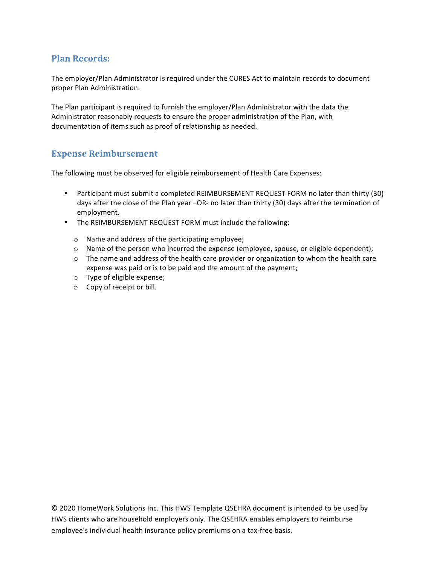## **Plan Records:**

The employer/Plan Administrator is required under the CURES Act to maintain records to document proper Plan Administration.

The Plan participant is required to furnish the employer/Plan Administrator with the data the Administrator reasonably requests to ensure the proper administration of the Plan, with documentation of items such as proof of relationship as needed.

### **Expense Reimbursement**

The following must be observed for eligible reimbursement of Health Care Expenses:

- Participant must submit a completed REIMBURSEMENT REQUEST FORM no later than thirty (30) days after the close of the Plan year -OR- no later than thirty (30) days after the termination of employment.
- The REIMBURSEMENT REQUEST FORM must include the following:
	- $\circ$  Name and address of the participating employee;
	- $\circ$  Name of the person who incurred the expense (employee, spouse, or eligible dependent);
	- $\circ$  The name and address of the health care provider or organization to whom the health care expense was paid or is to be paid and the amount of the payment;
	- $\circ$  Type of eligible expense;
	- o Copy of receipt or bill.

© 2020 HomeWork Solutions Inc. This HWS Template QSEHRA document is intended to be used by HWS clients who are household employers only. The QSEHRA enables employers to reimburse employee's individual health insurance policy premiums on a tax-free basis.